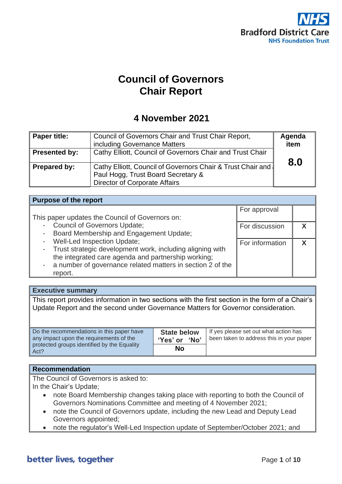

# **Council of Governors Chair Report**

## **4 November 2021**

| Paper title:        | Council of Governors Chair and Trust Chair Report,<br>including Governance Matters                                                        | Agenda<br>item |
|---------------------|-------------------------------------------------------------------------------------------------------------------------------------------|----------------|
| Presented by:       | Cathy Elliott, Council of Governors Chair and Trust Chair                                                                                 | 8.0            |
| <b>Prepared by:</b> | Cathy Elliott, Council of Governors Chair & Trust Chair and<br>Paul Hogg, Trust Board Secretary &<br><b>Director of Corporate Affairs</b> |                |

| <b>Purpose of the report</b>                                 |                 |  |  |  |
|--------------------------------------------------------------|-----------------|--|--|--|
|                                                              | For approval    |  |  |  |
| This paper updates the Council of Governors on:              |                 |  |  |  |
| <b>Council of Governors Update;</b><br>$\sim$                | For discussion  |  |  |  |
| Board Membership and Engagement Update;<br>$\sim$            |                 |  |  |  |
| <b>Well-Led Inspection Update;</b><br>$\sim$                 | For information |  |  |  |
| - Trust strategic development work, including aligning with  |                 |  |  |  |
| the integrated care agenda and partnership working;          |                 |  |  |  |
| - a number of governance related matters in section 2 of the |                 |  |  |  |
| report.                                                      |                 |  |  |  |

#### **Executive summary**

This report provides information in two sections with the first section in the form of a Chair's Update Report and the second under Governance Matters for Governor consideration.

| Do the recommendations in this paper have<br>any impact upon the requirements of the | <b>State below</b><br>'Yes' or<br><b>No</b> ' | If yes please set out what action has<br>been taken to address this in your paper |
|--------------------------------------------------------------------------------------|-----------------------------------------------|-----------------------------------------------------------------------------------|
| protected groups identified by the Equality<br>Act?                                  | No                                            |                                                                                   |

#### **Recommendation**

The Council of Governors is asked to: In the Chair's Update;

- note Board Membership changes taking place with reporting to both the Council of Governors Nominations Committee and meeting of 4 November 2021;
- note the Council of Governors update, including the new Lead and Deputy Lead Governors appointed;
- note the regulator's Well-Led Inspection update of September/October 2021; and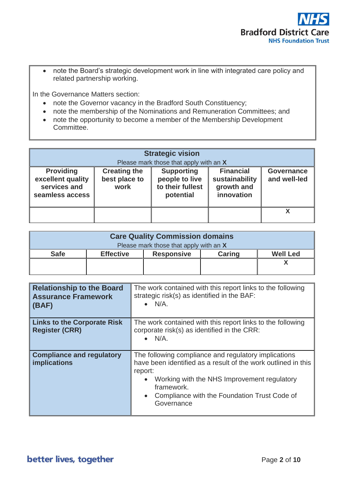

• note the Board's strategic development work in line with integrated care policy and related partnership working.

In the Governance Matters section:

- note the Governor vacancy in the Bradford South Constituency;
- note the membership of the Nominations and Remuneration Committees; and
- note the opportunity to become a member of the Membership Development Committee.

| <b>Strategic vision</b><br>Please mark those that apply with an X        |                                              |                                                                      |                                                                |                                   |
|--------------------------------------------------------------------------|----------------------------------------------|----------------------------------------------------------------------|----------------------------------------------------------------|-----------------------------------|
| <b>Providing</b><br>excellent quality<br>services and<br>seamless access | <b>Creating the</b><br>best place to<br>work | <b>Supporting</b><br>people to live<br>to their fullest<br>potential | <b>Financial</b><br>sustainability<br>growth and<br>innovation | <b>Governance</b><br>and well-led |
|                                                                          |                                              |                                                                      |                                                                | x                                 |

| <b>Care Quality Commission domains</b> |                  |                   |               |                 |
|----------------------------------------|------------------|-------------------|---------------|-----------------|
| Please mark those that apply with an X |                  |                   |               |                 |
| <b>Safe</b>                            | <b>Effective</b> | <b>Responsive</b> | <b>Caring</b> | <b>Well Led</b> |
|                                        |                  |                   |               |                 |
|                                        |                  |                   |               |                 |

| <b>Relationship to the Board</b><br><b>Assurance Framework</b><br>$\vert$ (BAF) | The work contained with this report links to the following<br>strategic risk(s) as identified in the BAF:<br>$\bullet$ N/A.                                                                                                                                              |
|---------------------------------------------------------------------------------|--------------------------------------------------------------------------------------------------------------------------------------------------------------------------------------------------------------------------------------------------------------------------|
| <b>Links to the Corporate Risk</b><br><b>Register (CRR)</b>                     | The work contained with this report links to the following<br>corporate risk(s) as identified in the CRR:<br>$\bullet$ N/A.                                                                                                                                              |
| <b>Compliance and regulatory</b><br>implications                                | The following compliance and regulatory implications<br>have been identified as a result of the work outlined in this<br>report:<br>Working with the NHS Improvement regulatory<br>framework.<br>Compliance with the Foundation Trust Code of<br>$\bullet$<br>Governance |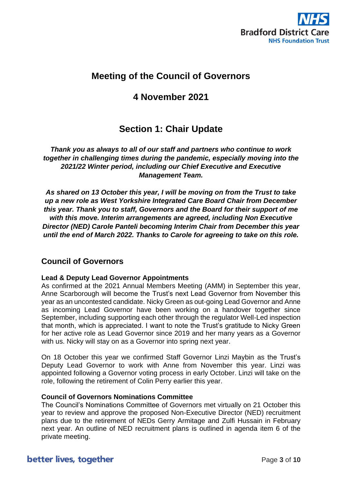

## **Meeting of the Council of Governors**

## **4 November 2021**

## **Section 1: Chair Update**

*Thank you as always to all of our staff and partners who continue to work together in challenging times during the pandemic, especially moving into the 2021/22 Winter period, including our Chief Executive and Executive Management Team.*

*As shared on 13 October this year, I will be moving on from the Trust to take up a new role as West Yorkshire Integrated Care Board Chair from December this year. Thank you to staff, Governors and the Board for their support of me with this move. Interim arrangements are agreed, including Non Executive Director (NED) Carole Panteli becoming Interim Chair from December this year until the end of March 2022. Thanks to Carole for agreeing to take on this role.* 

### **Council of Governors**

#### **Lead & Deputy Lead Governor Appointments**

As confirmed at the 2021 Annual Members Meeting (AMM) in September this year, Anne Scarborough will become the Trust's next Lead Governor from November this year as an uncontested candidate. Nicky Green as out-going Lead Governor and Anne as incoming Lead Governor have been working on a handover together since September, including supporting each other through the regulator Well-Led inspection that month, which is appreciated. I want to note the Trust's gratitude to Nicky Green for her active role as Lead Governor since 2019 and her many years as a Governor with us. Nicky will stay on as a Governor into spring next year.

On 18 October this year we confirmed Staff Governor Linzi Maybin as the Trust's Deputy Lead Governor to work with Anne from November this year. Linzi was appointed following a Governor voting process in early October. Linzi will take on the role, following the retirement of Colin Perry earlier this year.

#### **Council of Governors Nominations Committee**

The Council's Nominations Committee of Governors met virtually on 21 October this year to review and approve the proposed Non-Executive Director (NED) recruitment plans due to the retirement of NEDs Gerry Armitage and Zulfi Hussain in February next year. An outline of NED recruitment plans is outlined in agenda item 6 of the private meeting.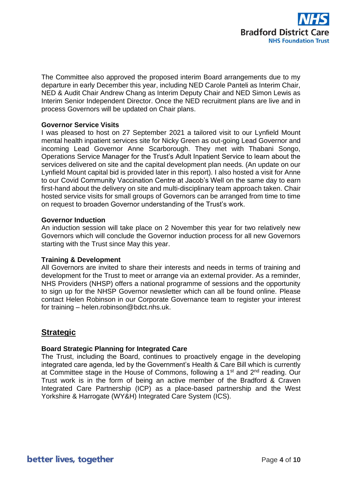

The Committee also approved the proposed interim Board arrangements due to my departure in early December this year, including NED Carole Panteli as Interim Chair, NED & Audit Chair Andrew Chang as Interim Deputy Chair and NED Simon Lewis as Interim Senior Independent Director. Once the NED recruitment plans are live and in process Governors will be updated on Chair plans.

#### **Governor Service Visits**

I was pleased to host on 27 September 2021 a tailored visit to our Lynfield Mount mental health inpatient services site for Nicky Green as out-going Lead Governor and incoming Lead Governor Anne Scarborough. They met with Thabani Songo, Operations Service Manager for the Trust's Adult Inpatient Service to learn about the services delivered on site and the capital development plan needs. (An update on our Lynfield Mount capital bid is provided later in this report). I also hosted a visit for Anne to our Covid Community Vaccination Centre at Jacob's Well on the same day to earn first-hand about the delivery on site and multi-disciplinary team approach taken. Chair hosted service visits for small groups of Governors can be arranged from time to time on request to broaden Governor understanding of the Trust's work.

#### **Governor Induction**

An induction session will take place on 2 November this year for two relatively new Governors which will conclude the Governor induction process for all new Governors starting with the Trust since May this year.

#### **Training & Development**

All Governors are invited to share their interests and needs in terms of training and development for the Trust to meet or arrange via an external provider. As a reminder, NHS Providers (NHSP) offers a national programme of sessions and the opportunity to sign up for the NHSP Governor newsletter which can all be found online. Please contact Helen Robinson in our Corporate Governance team to register your interest for training – helen.robinson@bdct.nhs.uk.

### **Strategic**

#### **Board Strategic Planning for Integrated Care**

The Trust, including the Board, continues to proactively engage in the developing integrated care agenda, led by the Government's Health & Care Bill which is currently at Committee stage in the House of Commons, following a 1<sup>st</sup> and 2<sup>nd</sup> reading. Our Trust work is in the form of being an active member of the Bradford & Craven Integrated Care Partnership (ICP) as a place-based partnership and the West Yorkshire & Harrogate (WY&H) Integrated Care System (ICS).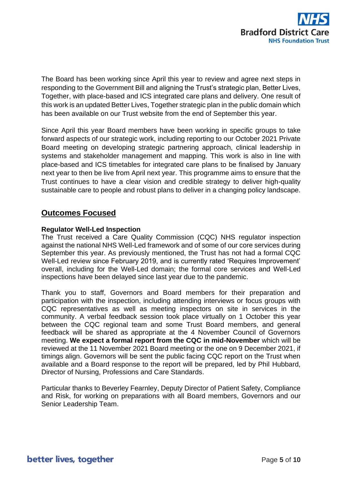

The Board has been working since April this year to review and agree next steps in responding to the Government Bill and aligning the Trust's strategic plan, Better Lives, Together, with place-based and ICS integrated care plans and delivery. One result of this work is an updated Better Lives, Together strategic plan in the public domain which has been available on our Trust website from the end of September this year.

Since April this year Board members have been working in specific groups to take forward aspects of our strategic work, including reporting to our October 2021 Private Board meeting on developing strategic partnering approach, clinical leadership in systems and stakeholder management and mapping. This work is also in line with place-based and ICS timetables for integrated care plans to be finalised by January next year to then be live from April next year. This programme aims to ensure that the Trust continues to have a clear vision and credible strategy to deliver high-quality sustainable care to people and robust plans to deliver in a changing policy landscape.

### **Outcomes Focused**

#### **Regulator Well-Led Inspection**

The Trust received a Care Quality Commission (CQC) NHS regulator inspection against the national NHS Well-Led framework and of some of our core services during September this year. As previously mentioned, the Trust has not had a formal CQC Well-Led review since February 2019, and is currently rated 'Requires Improvement' overall, including for the Well-Led domain; the formal core services and Well-Led inspections have been delayed since last year due to the pandemic.

Thank you to staff, Governors and Board members for their preparation and participation with the inspection, including attending interviews or focus groups with CQC representatives as well as meeting inspectors on site in services in the community. A verbal feedback session took place virtually on 1 October this year between the CQC regional team and some Trust Board members, and general feedback will be shared as appropriate at the 4 November Council of Governors meeting. **We expect a formal report from the CQC in mid-November** which will be reviewed at the 11 November 2021 Board meeting or the one on 9 December 2021, if timings align. Governors will be sent the public facing CQC report on the Trust when available and a Board response to the report will be prepared, led by Phil Hubbard, Director of Nursing, Professions and Care Standards.

Particular thanks to Beverley Fearnley, Deputy Director of Patient Safety, Compliance and Risk, for working on preparations with all Board members, Governors and our Senior Leadership Team.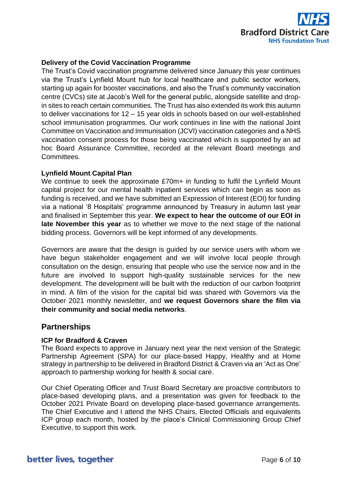

#### **Delivery of the Covid Vaccination Programme**

The Trust's Covid vaccination programme delivered since January this year continues via the Trust's Lynfield Mount hub for local healthcare and public sector workers, starting up again for booster vaccinations, and also the Trust's community vaccination centre (CVCs) site at Jacob's Well for the general public, alongside satellite and dropin sites to reach certain communities. The Trust has also extended its work this autumn to deliver vaccinations for 12 – 15 year olds in schools based on our well-established school immunisation programmes. Our work continues in line with the national Joint Committee on Vaccination and Immunisation (JCVI) vaccination categories and a NHS vaccination consent process for those being vaccinated which is supported by an ad hoc Board Assurance Committee, recorded at the relevant Board meetings and **Committees** 

#### **Lynfield Mount Capital Plan**

We continue to seek the approximate £70m+ in funding to fulfil the Lynfield Mount capital project for our mental health inpatient services which can begin as soon as funding is received, and we have submitted an Expression of Interest (EOI) for funding via a national '8 Hospitals' programme announced by Treasury in autumn last year and finalised in September this year. **We expect to hear the outcome of our EOI in late November this year** as to whether we move to the next stage of the national bidding process. Governors will be kept informed of any developments.

Governors are aware that the design is guided by our service users with whom we have begun stakeholder engagement and we will involve local people through consultation on the design, ensuring that people who use the service now and in the future are involved to support high-quality sustainable services for the new development. The development will be built with the reduction of our carbon footprint in mind. A film of the vision for the capital bid was shared with Governors via the October 2021 monthly newsletter, and **we request Governors share the film via their community and social media networks**.

#### **Partnerships**

#### **ICP for Bradford & Craven**

The Board expects to approve in January next year the next version of the Strategic Partnership Agreement (SPA) for our place-based Happy, Healthy and at Home strategy in partnership to be delivered in Bradford District & Craven via an 'Act as One' approach to partnership working for health & social care.

Our Chief Operating Officer and Trust Board Secretary are proactive contributors to place-based developing plans, and a presentation was given for feedback to the October 2021 Private Board on developing place-based governance arrangements. The Chief Executive and I attend the NHS Chairs, Elected Officials and equivalents ICP group each month, hosted by the place's Clinical Commissioning Group Chief Executive, to support this work.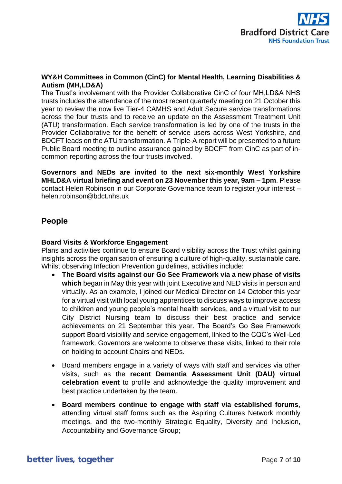

#### **WY&H Committees in Common (CinC) for Mental Health, Learning Disabilities & Autism (MH,LD&A)**

The Trust's involvement with the Provider Collaborative CinC of four MH,LD&A NHS trusts includes the attendance of the most recent quarterly meeting on 21 October this year to review the now live Tier-4 CAMHS and Adult Secure service transformations across the four trusts and to receive an update on the Assessment Treatment Unit (ATU) transformation. Each service transformation is led by one of the trusts in the Provider Collaborative for the benefit of service users across West Yorkshire, and BDCFT leads on the ATU transformation. A Triple-A report will be presented to a future Public Board meeting to outline assurance gained by BDCFT from CinC as part of incommon reporting across the four trusts involved.

**Governors and NEDs are invited to the next six-monthly West Yorkshire MHLD&A virtual briefing and event on 23 November this year, 9am – 1pm**. Please contact Helen Robinson in our Corporate Governance team to register your interest – helen.robinson@bdct.nhs.uk

### **People**

#### **Board Visits & Workforce Engagement**

Plans and activities continue to ensure Board visibility across the Trust whilst gaining insights across the organisation of ensuring a culture of high-quality, sustainable care. Whilst observing Infection Prevention guidelines, activities include:

- **The Board visits against our Go See Framework via a new phase of visits which** began in May this year with joint Executive and NED visits in person and virtually. As an example, I joined our Medical Director on 14 October this year for a virtual visit with local young apprentices to discuss ways to improve access to children and young people's mental health services, and a virtual visit to our City District Nursing team to discuss their best practice and service achievements on 21 September this year. The Board's Go See Framework support Board visibility and service engagement, linked to the CQC's Well-Led framework. Governors are welcome to observe these visits, linked to their role on holding to account Chairs and NEDs.
- Board members engage in a variety of ways with staff and services via other visits, such as the **recent Dementia Assessment Unit (DAU) virtual celebration event** to profile and acknowledge the quality improvement and best practice undertaken by the team.
- **Board members continue to engage with staff via established forums**, attending virtual staff forms such as the Aspiring Cultures Network monthly meetings, and the two-monthly Strategic Equality, Diversity and Inclusion, Accountability and Governance Group;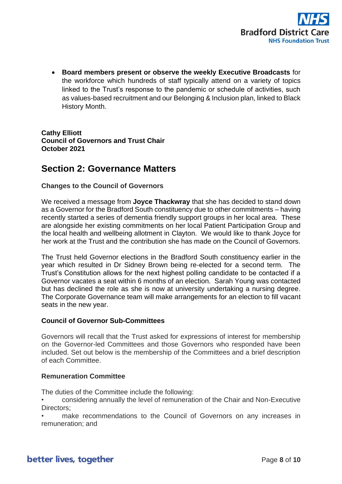

• **Board members present or observe the weekly Executive Broadcasts** for the workforce which hundreds of staff typically attend on a variety of topics linked to the Trust's response to the pandemic or schedule of activities, such as values-based recruitment and our Belonging & Inclusion plan, linked to Black History Month.

**Cathy Elliott Council of Governors and Trust Chair October 2021**

## **Section 2: Governance Matters**

#### **Changes to the Council of Governors**

We received a message from **Joyce Thackwray** that she has decided to stand down as a Governor for the Bradford South constituency due to other commitments – having recently started a series of dementia friendly support groups in her local area. These are alongside her existing commitments on her local Patient Participation Group and the local health and wellbeing allotment in Clayton. We would like to thank Joyce for her work at the Trust and the contribution she has made on the Council of Governors.

The Trust held Governor elections in the Bradford South constituency earlier in the year which resulted in Dr Sidney Brown being re-elected for a second term. The Trust's Constitution allows for the next highest polling candidate to be contacted if a Governor vacates a seat within 6 months of an election. Sarah Young was contacted but has declined the role as she is now at university undertaking a nursing degree. The Corporate Governance team will make arrangements for an election to fill vacant seats in the new year.

#### **Council of Governor Sub-Committees**

Governors will recall that the Trust asked for expressions of interest for membership on the Governor-led Committees and those Governors who responded have been included. Set out below is the membership of the Committees and a brief description of each Committee.

#### **Remuneration Committee**

The duties of the Committee include the following:

- considering annually the level of remuneration of the Chair and Non-Executive Directors:
- make recommendations to the Council of Governors on any increases in remuneration; and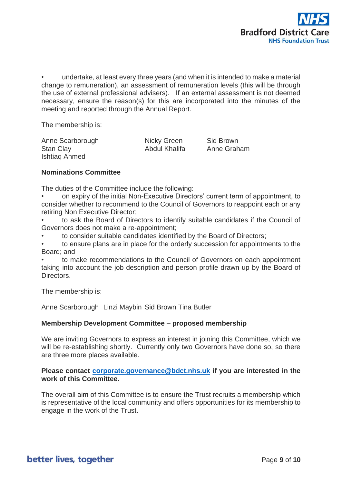

• undertake, at least every three years (and when it is intended to make a material change to remuneration), an assessment of remuneration levels (this will be through the use of external professional advisers). If an external assessment is not deemed necessary, ensure the reason(s) for this are incorporated into the minutes of the meeting and reported through the Annual Report.

The membership is:

Anne Scarborough Micky Green Sid Brown<br>
Stan Clav Stan Clave Stan Abdul Khalifa Anne Graham Stan Clay **Abdul Khalifa** Annual Abdul Khalifa Ishtiaq Ahmed

#### **Nominations Committee**

The duties of the Committee include the following:

- on expiry of the initial Non-Executive Directors' current term of appointment, to consider whether to recommend to the Council of Governors to reappoint each or any retiring Non Executive Director;
- to ask the Board of Directors to identify suitable candidates if the Council of Governors does not make a re-appointment;
- to consider suitable candidates identified by the Board of Directors;
- to ensure plans are in place for the orderly succession for appointments to the Board; and

• to make recommendations to the Council of Governors on each appointment taking into account the job description and person profile drawn up by the Board of Directors.

The membership is:

Anne Scarborough Linzi Maybin Sid Brown Tina Butler

#### **Membership Development Committee – proposed membership**

We are inviting Governors to express an interest in joining this Committee, which we will be re-establishing shortly. Currently only two Governors have done so, so there are three more places available.

#### **Please contact [corporate.governance@bdct.nhs.uk](mailto:corporate.governance@bdct.nhs.uk) if you are interested in the work of this Committee.**

The overall aim of this Committee is to ensure the Trust recruits a membership which is representative of the local community and offers opportunities for its membership to engage in the work of the Trust.